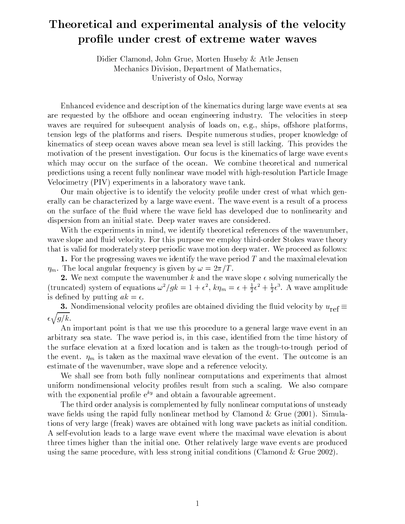# Theoretical and experimental analysis of the velocity profile under crest of extreme water waves

Didier Clamond, John Grue, Morten Huseby & Atle Jensen Mechanics Division, Department of Mathematics, Univeristy of Oslo, Norway

Enhanced evidence and description of the kinematics during large wave events at sea are requested by the offshore and ocean engineering industry. The velocities in steep waves are required for subsequent analysis of loads on, e.g., ships, offshore platforms, tension legs of the platforms and risers. Despite numerous studies, proper knowledge of kinematics of steep ocean waves above mean sea level is still lacking. This provides the motivation of the present investigation. Our focus is the kinematics of large wave events which may occur on the surface of the ocean. We combine theoretical and numerical predictions using a recent fully nonlinear wave model with high-resolution Particle Image Velocimetry (PIV) experiments in a laboratory wave tank.

Our main objective is to identify the velocity profile under crest of what which generally can be characterized by a large wave event. The wave event is a result of a process on the surface of the fluid where the wave field has developed due to nonlinearity and dispersion from an initial state. Deep water waves are considered.

With the experiments in mind, we identify theoretical references of the wavenumber, wave slope and fluid velocity. For this purpose we employ third-order Stokes wave theory that is valid for moderately steep periodic wave motion deep water. We proceed as follows:

1. For the progressing waves we identify the wave period  $T$  and the maximal elevation  $\eta_m$ . The local angular frequency is given by  $\omega = 2\pi/T$ .

2. We next compute the wavenumber k and the wave slope  $\epsilon$  solving numerically the (truncated) system of equations  $\omega^2/gk = 1 + \epsilon^2$ ,  $k\eta_m = \epsilon + \frac{1}{2}\epsilon^2 + \frac{1}{2}\epsilon^3$ . A wave amplitude is defined by putting  $ak = \epsilon$ .

**3.** Nondimensional velocity profiles are obtained dividing the fluid velocity by  $u_{ref} \equiv$  $\epsilon \sqrt{g/k}$ .

An important point is that we use this procedure to a general large wave event in an arbitrary sea state. The wave period is, in this case, identified from the time history of the surface elevation at a fixed location and is taken as the trough-to-trough period of the event.  $\eta_m$  is taken as the maximal wave elevation of the event. The outcome is an estimate of the wavenumber, wave slope and a reference velocity.

We shall see from both fully nonlinear computations and experiments that almost uniform nondimensional velocity profiles result from such a scaling. We also compare with the exponential profile  $e^{ky}$  and obtain a favourable agreement.

The third order analysis is complemented by fully nonlinear computations of unsteady wave fields using the rapid fully nonlinear method by Clamond & Grue  $(2001)$ . Simulations of very large (freak) waves are obtained with long wave packets as initial condition. A self-evolution leads to a large wave event where the maximal wave elevation is about three times higher than the initial one. Other relatively large wave events are produced using the same procedure, with less strong initial conditions (Clamond & Grue 2002).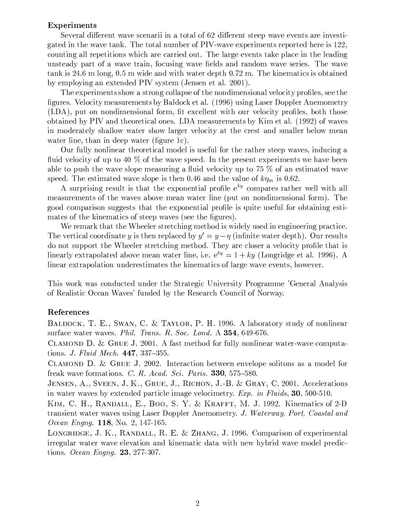#### Experiments

Several different wave scenarii in a total of 62 different steep wave events are investigated in the wave tank. The total number of PIV-wave experiments reported here is 122, counting all repetitions which are carried out. The large events take place in the leading unsteady part of a wave train, focusing wave fields and random wave series. The wave tank is 24.6 m long,  $0.5$  m wide and with water depth  $0.72$  m. The kinematics is obtained by employing an extended PIV system (Jensen et al. 2001).

The experiments show a strong collapse of the nondimensional velocity profiles, see the figures. Velocity measurements by Baldock et al. (1996) using Laser Doppler Anemometry (LDA), put on nondimensional form, fit excellent with our velocity profiles, both those obtained by PIV and theoretical ones. LDA measurements by Kim et al. (1992) of waves in moderately shallow water show larger velocity at the crest and smaller below mean water line, than in deep water (figure  $1c$ ).

Our fully nonlinear theoretical model is useful for the rather steep waves, inducing a fluid velocity of up to 40  $\%$  of the wave speed. In the present experiments we have been able to push the wave slope measuring a fluid velocity up to 75  $\%$  of an estimated wave speed. The estimated wave slope is then 0.46 and the value of  $k\eta_m$  is 0.62.

A surprising result is that the exponential profile  $e^{ky}$  compares rather well with all measurements of the waves above mean water line (put on nondimensional form). The good comparison suggests that the exponential profile is quite useful for obtaining estimates of the kinematics of steep waves (see the figures).

We remark that the Wheeler stretching method is widely used in engineering practice. The vertical coordinate y is then replaced by  $y' = y - \eta$  (infinite water depth). Our results do not support the Wheeler stretching method. They are closer a velocity profile that is linearly extrapolated above mean water line, i.e.  $e^{ky} = 1 + ky$  (Longridge et al. 1996). A linear extrapolation underestimates the kinematics of large wave events, however.

This work was conducted under the Strategic University Programme 'General Analysis of Realistic Ocean Waves' funded by the Research Council of Norway.

#### References

BALDOCK, T. E., SWAN, C. & TAYLOR, P. H. 1996. A laboratory study of nonlinear surface water waves. Phil. Trans. R. Soc. Lond. A 354, 649-676.

CLAMOND D. & GRUE J. 2001. A fast method for fully nonlinear water-wave computations. J. Fluid Mech. 447, 337-355.

CLAMOND D. & GRUE J. 2002. Interaction between envelope solitons as a model for freak wave formations. C. R. Acad. Sci. Paris. 330, 575-580.

JENSEN, A., SVEEN, J. K., GRUE, J., RICHON, J.-B. & GRAY, C. 2001. Accelerations in water waves by extended particle image velocimetry. Exp. in Fluids, 30, 500-510.

KIM, C. H., RANDALL, E., BOO, S. Y. & KRAFFT, M. J. 1992. Kinematics of 2-D transient water waves using Laser Doppler Anemometry. J. Waterway, Port, Coastal and *Ocean Engng.* 118, No. 2, 147-165.

LONGRIDGE, J. K., RANDALL, R. E. & ZHANG, J. 1996. Comparison of experimental irregular water wave elevation and kinematic data with new hybrid wave model predictions. Ocean Engng.  $23$ , 277-307.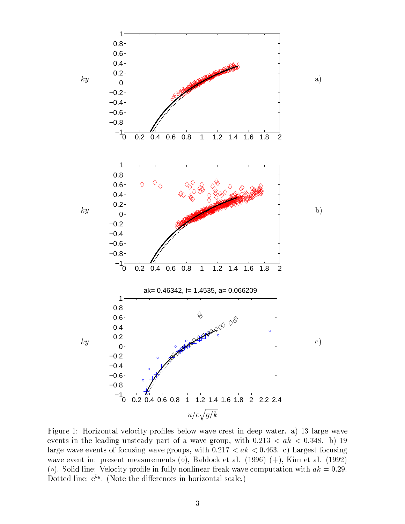

Figure 1: Horizontal velocity profiles below wave crest in deep water. a) 13 large wave events in the leading unsteady part of a wave group, with  $0.213 < ak < 0.348$ . b) 19 large wave events of focusing wave groups, with  $0.217 < ak < 0.463$ . c) Largest focusing wave event in: present measurements ( $\diamond$ ), Baldock et al. (1996) (+), Kim et al. (1992) (o). Solid line: Velocity profile in fully nonlinear freak wave computation with  $ak = 0.29$ . Dotted line:  $e^{ky}$ . (Note the differences in horizontal scale.)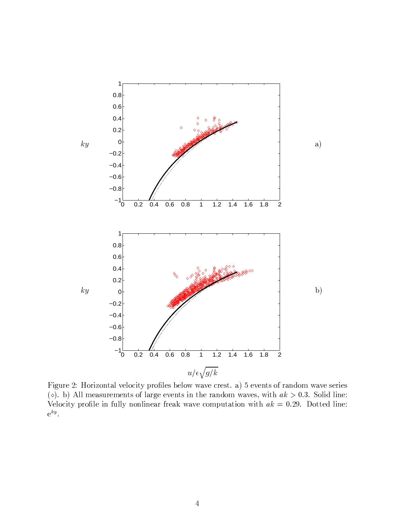

Figure 2: Horizontal velocity profiles below wave crest. a) 5 events of random wave series ( $\circ$ ). b) All measurements of large events in the random waves, with  $ak > 0.3$ . Solid line: Velocity profile in fully nonlinear freak wave computation with  $ak = 0.29$ . Dotted line:  $e^{ky}$ .